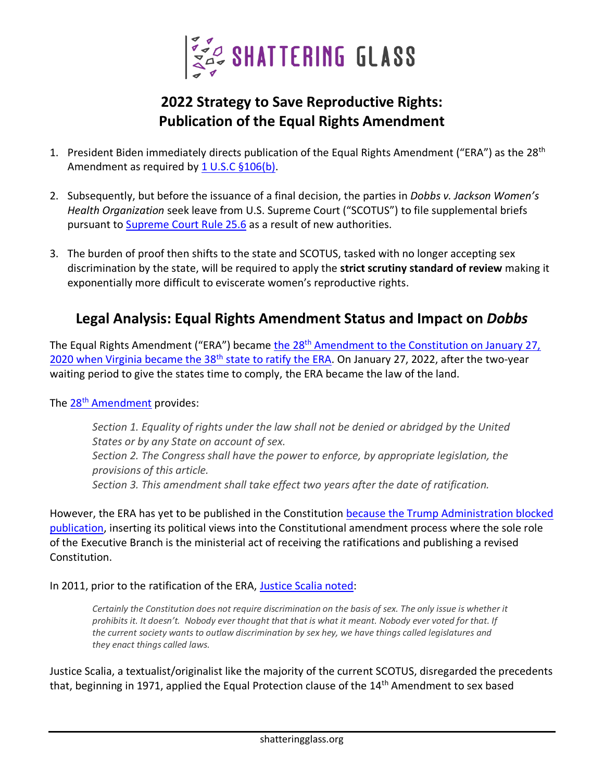

## **2022 Strategy to Save Reproductive Rights: Publication of the Equal Rights Amendment**

- 1. President Biden immediately directs publication of the Equal Rights Amendment ("ERA") as the 28<sup>th</sup> Amendment as required by  $1 \text{ U.S.C } $106(b)$ .
- 2. Subsequently, but before the issuance of a final decision, the parties in *Dobbs v. Jackson Women's Health Organization* seek leave from U.S. Supreme Court ("SCOTUS") to file supplemental briefs pursuant to [Supreme Court Rule 25.6](https://www.supremecourt.gov/filingandrules/2019RulesoftheCourt.pdf) as a result of new authorities.
- 3. The burden of proof then shifts to the state and SCOTUS, tasked with no longer accepting sex discrimination by the state, will be required to apply the **strict scrutiny standard of review** making it exponentially more difficult to eviscerate women's reproductive rights.

## **Legal Analysis: Equal Rights Amendment Status and Impact on** *Dobbs*

The Equal Rights Amendment ("ERA") became the 28<sup>th</sup> Amendment to the Constitution on January 27, [2020 when Virginia became the 38](https://oversight.house.gov/sites/democrats.oversight.house.gov/files/ERA%2050th%20Anniversary%20%28Russ%20Feingold%20Letter%29.pdf)<sup>th</sup> state to ratify the ERA. On January 27, 2022, after the two-year waiting period to give the states time to comply, the ERA became the law of the land.

## The 28<sup>th</sup> [Amendment](https://www.govinfo.gov/content/pkg/STATUTE-86/pdf/STATUTE-86-Pg1523.pdf) provides:

*Section 1. Equality of rights under the law shall not be denied or abridged by the United States or by any State on account of sex. Section 2. The Congress shall have the power to enforce, by appropriate legislation, the provisions of this article. Section 3. This amendment shall take effect two years after the date of ratification.*

However, the ERA has yet to be published in the Constitution because [the Trump Administration blocked](https://www.justice.gov/olc/opinion/ratification-equal-rights-amendment)  [publication,](https://www.justice.gov/olc/opinion/ratification-equal-rights-amendment) inserting its political views into the Constitutional amendment process where the sole role of the Executive Branch is the ministerial act of receiving the ratifications and publishing a revised Constitution.

In 2011, prior to the ratification of the ERA, [Justice Scalia noted:](https://www.theatlantic.com/politics/archive/2011/01/scalia-says-constitution-doesn-t-protect-women-from-gender-discrimination/342789/)

*Certainly the Constitution does not require discrimination on the basis of sex. The only issue is whether it prohibits it. It doesn't. Nobody ever thought that that is what it meant. Nobody ever voted for that. If the current society wants to outlaw discrimination by sex hey, we have things called legislatures and they enact things called laws.*

Justice Scalia, a textualist/originalist like the majority of the current SCOTUS, disregarded the precedents that, beginning in 1971, applied the Equal Protection clause of the 14th Amendment to sex based